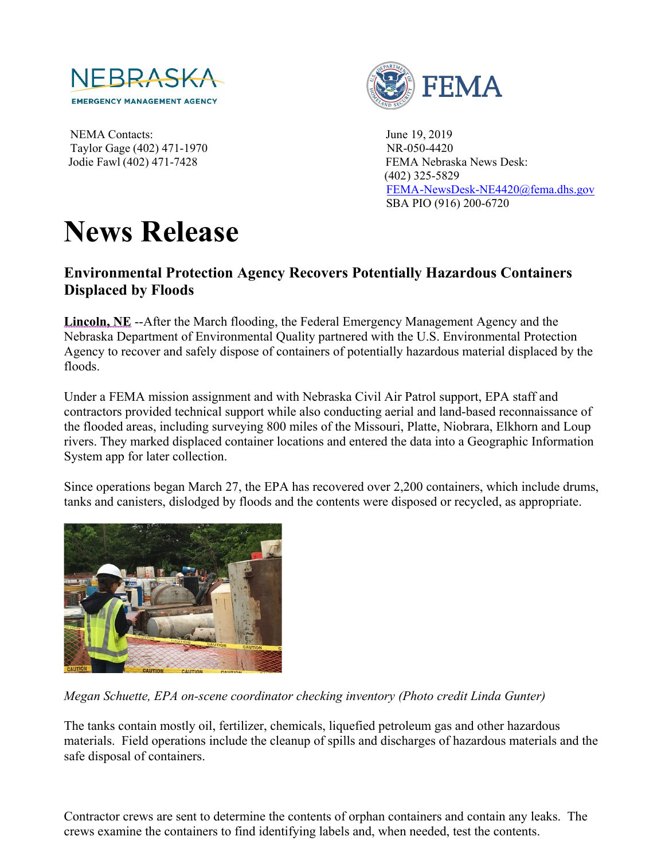

NEMA Contacts: June 19, 2019 Taylor Gage (402) 471-1970 NR-050-4420



Jodie Fawl (402) 471-7428 FEMA Nebraska News Desk: (402) 325-5829 [FEMA-NewsDesk-NE4420@fema.dhs.gov](mailto:FEMA-NewsDesk-NE4420@fema.dhs.gov) SBA PIO (916) 200-6720

## **News Release**

## **Environmental Protection Agency Recovers Potentially Hazardous Containers Displaced by Floods**

**Lincoln, NE** --After the March flooding, the Federal Emergency Management Agency and the Nebraska Department of Environmental Quality partnered with the U.S. Environmental Protection Agency to recover and safely dispose of containers of potentially hazardous material displaced by the floods.

Under a FEMA mission assignment and with Nebraska Civil Air Patrol support, EPA staff and contractors provided technical support while also conducting aerial and land-based reconnaissance of the flooded areas, including surveying 800 miles of the Missouri, Platte, Niobrara, Elkhorn and Loup rivers. They marked displaced container locations and entered the data into a Geographic Information System app for later collection.

Since operations began March 27, the EPA has recovered over 2,200 containers, which include drums, tanks and canisters, dislodged by floods and the contents were disposed or recycled, as appropriate.



*Megan Schuette, EPA on-scene coordinator checking inventory (Photo credit Linda Gunter)* 

The tanks contain mostly oil, fertilizer, chemicals, liquefied petroleum gas and other hazardous materials. Field operations include the cleanup of spills and discharges of hazardous materials and the safe disposal of containers.

Contractor crews are sent to determine the contents of orphan containers and contain any leaks. The crews examine the containers to find identifying labels and, when needed, test the contents.